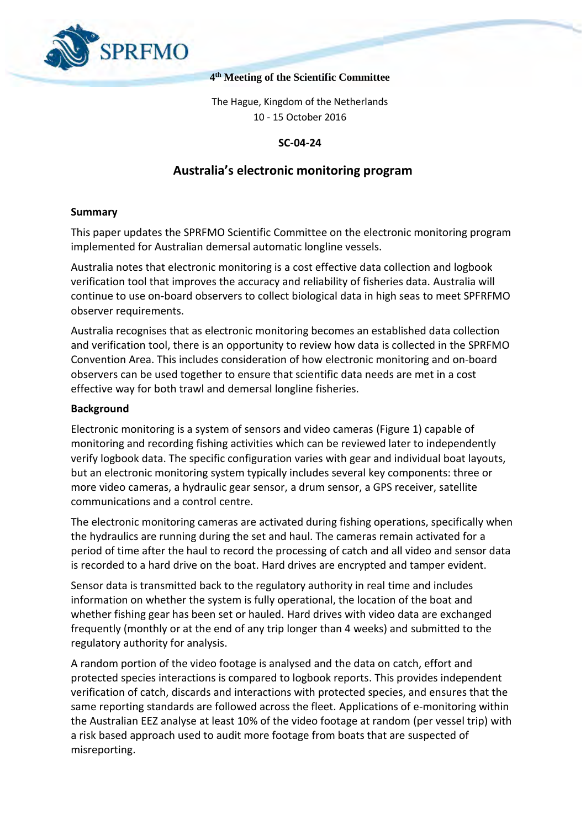

### **4 th Meeting of the Scientific Committee**

The Hague, Kingdom of the Netherlands 10 - 15 October 2016

### **SC-04-24**

### **Australia's electronic monitoring program**

### **Summary**

This paper updates the SPRFMO Scientific Committee on the electronic monitoring program implemented for Australian demersal automatic longline vessels.

Australia notes that electronic monitoring is a cost effective data collection and logbook verification tool that improves the accuracy and reliability of fisheries data. Australia will continue to use on-board observers to collect biological data in high seas to meet SPFRFMO observer requirements.

Australia recognises that as electronic monitoring becomes an established data collection and verification tool, there is an opportunity to review how data is collected in the SPRFMO Convention Area. This includes consideration of how electronic monitoring and on-board observers can be used together to ensure that scientific data needs are met in a cost effective way for both trawl and demersal longline fisheries.

### **Background**

Electronic monitoring is a system of sensors and video cameras (Figure 1) capable of monitoring and recording fishing activities which can be reviewed later to independently verify logbook data. The specific configuration varies with gear and individual boat layouts, but an electronic monitoring system typically includes several key components: three or more video cameras, a hydraulic gear sensor, a drum sensor, a GPS receiver, satellite communications and a control centre.

The electronic monitoring cameras are activated during fishing operations, specifically when the hydraulics are running during the set and haul. The cameras remain activated for a period of time after the haul to record the processing of catch and all video and sensor data is recorded to a hard drive on the boat. Hard drives are encrypted and tamper evident.

Sensor data is transmitted back to the regulatory authority in real time and includes information on whether the system is fully operational, the location of the boat and whether fishing gear has been set or hauled. Hard drives with video data are exchanged frequently (monthly or at the end of any trip longer than 4 weeks) and submitted to the regulatory authority for analysis.

A random portion of the video footage is analysed and the data on catch, effort and protected species interactions is compared to logbook reports. This provides independent verification of catch, discards and interactions with protected species, and ensures that the same reporting standards are followed across the fleet. Applications of e-monitoring within the Australian EEZ analyse at least 10% of the video footage at random (per vessel trip) with a risk based approach used to audit more footage from boats that are suspected of misreporting.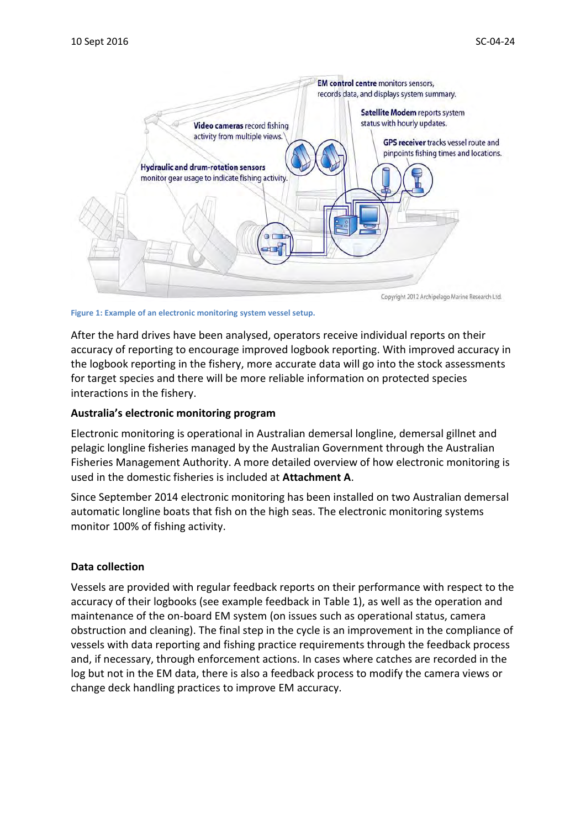

**Figure 1: Example of an electronic monitoring system vessel setup.**

After the hard drives have been analysed, operators receive individual reports on their accuracy of reporting to encourage improved logbook reporting. With improved accuracy in the logbook reporting in the fishery, more accurate data will go into the stock assessments for target species and there will be more reliable information on protected species interactions in the fishery.

### **Australia's electronic monitoring program**

Electronic monitoring is operational in Australian demersal longline, demersal gillnet and pelagic longline fisheries managed by the Australian Government through the Australian Fisheries Management Authority. A more detailed overview of how electronic monitoring is used in the domestic fisheries is included at **Attachment A**.

Since September 2014 electronic monitoring has been installed on two Australian demersal automatic longline boats that fish on the high seas. The electronic monitoring systems monitor 100% of fishing activity.

### **Data collection**

Vessels are provided with regular feedback reports on their performance with respect to the accuracy of their logbooks (see example feedback in [Table 1\)](#page-2-0), as well as the operation and maintenance of the on-board EM system (on issues such as operational status, camera obstruction and cleaning). The final step in the cycle is an improvement in the compliance of vessels with data reporting and fishing practice requirements through the feedback process and, if necessary, through enforcement actions. In cases where catches are recorded in the log but not in the EM data, there is also a feedback process to modify the camera views or change deck handling practices to improve EM accuracy.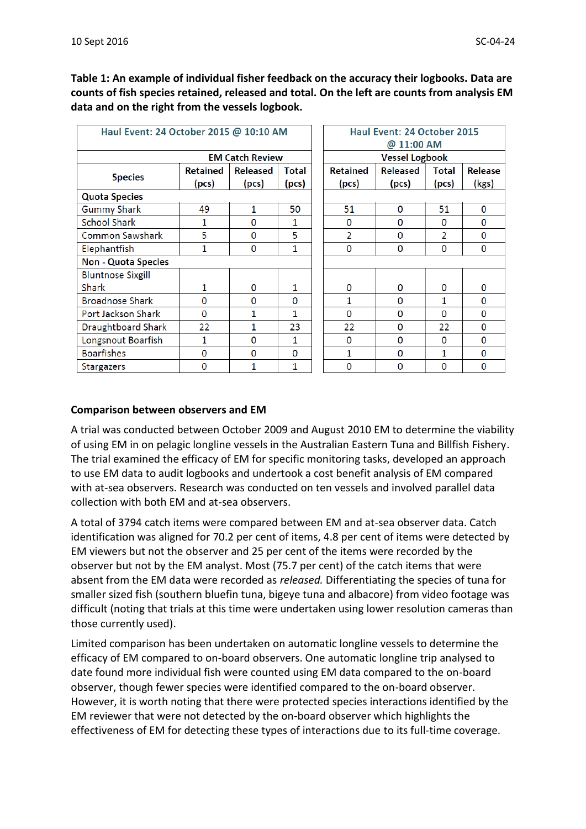<span id="page-2-0"></span>**Table 1: An example of individual fisher feedback on the accuracy their logbooks. Data are counts of fish species retained, released and total. On the left are counts from analysis EM data and on the right from the vessels logbook.** 

| Haul Event: 24 October 2015 @ 10:10 AM |                        |                 | Haul Event: 24 October 2015 |                       |          |                |          |
|----------------------------------------|------------------------|-----------------|-----------------------------|-----------------------|----------|----------------|----------|
|                                        |                        |                 | @ 11:00 AM                  |                       |          |                |          |
|                                        | <b>EM Catch Review</b> |                 |                             | <b>Vessel Logbook</b> |          |                |          |
| <b>Species</b>                         | <b>Retained</b>        | <b>Released</b> | Total                       | <b>Retained</b>       | Released | Total          | Release  |
|                                        | (pcs)                  | (pcs)           | (pcs)                       | (pcs)                 | (pcs)    | (pcs)          | (kgs)    |
| <b>Quota Species</b>                   |                        |                 |                             |                       |          |                |          |
| <b>Gummy Shark</b>                     | 49                     | 1               | 50                          | 51                    | 0        | 51             | 0        |
| <b>School Shark</b>                    | 1                      | 0               | 1                           | 0                     | 0        | 0              | 0        |
| Common Sawshark                        | 5                      | 0               | 5                           | $\overline{2}$        | 0        | $\overline{2}$ | 0        |
| Elephantfish                           | 1                      | 0               | 1                           | 0                     | 0        | 0              | 0        |
| <b>Non - Quota Species</b>             |                        |                 |                             |                       |          |                |          |
| <b>Bluntnose Sixgill</b>               |                        |                 |                             |                       |          |                |          |
| <b>Shark</b>                           | 1                      | 0               | 1                           | $\Omega$              | 0        | $\Omega$       | 0        |
| <b>Broadnose Shark</b>                 | 0                      | 0               | 0                           | 1                     | 0        | 1              | $\Omega$ |
| Port Jackson Shark                     | 0                      | 1               | 1                           | $\Omega$              | 0        | $\Omega$       | 0        |
| <b>Draughtboard Shark</b>              | 22                     | 1               | 23                          | 22                    | $\Omega$ | 22             | $\Omega$ |
| Longsnout Boarfish                     | 1                      | $\Omega$        | 1                           | O                     | 0        | 0              | 0        |
| <b>Boarfishes</b>                      | O                      | $\Omega$        | $\Omega$                    | 1                     | $\Omega$ | 1              | $\Omega$ |
| <b>Stargazers</b>                      | 0                      | 1               | 1                           | O                     | $\Omega$ | $\Omega$       | 0        |

### **Comparison between observers and EM**

A trial was conducted between October 2009 and August 2010 EM to determine the viability of using EM in on pelagic longline vessels in the Australian Eastern Tuna and Billfish Fishery. The trial examined the efficacy of EM for specific monitoring tasks, developed an approach to use EM data to audit logbooks and undertook a cost benefit analysis of EM compared with at-sea observers. Research was conducted on ten vessels and involved parallel data collection with both EM and at-sea observers.

A total of 3794 catch items were compared between EM and at-sea observer data. Catch identification was aligned for 70.2 per cent of items, 4.8 per cent of items were detected by EM viewers but not the observer and 25 per cent of the items were recorded by the observer but not by the EM analyst. Most (75.7 per cent) of the catch items that were absent from the EM data were recorded as *released.* Differentiating the species of tuna for smaller sized fish (southern bluefin tuna, bigeye tuna and albacore) from video footage was difficult (noting that trials at this time were undertaken using lower resolution cameras than those currently used).

Limited comparison has been undertaken on automatic longline vessels to determine the efficacy of EM compared to on-board observers. One automatic longline trip analysed to date found more individual fish were counted using EM data compared to the on-board observer, though fewer species were identified compared to the on-board observer. However, it is worth noting that there were protected species interactions identified by the EM reviewer that were not detected by the on-board observer which highlights the effectiveness of EM for detecting these types of interactions due to its full-time coverage.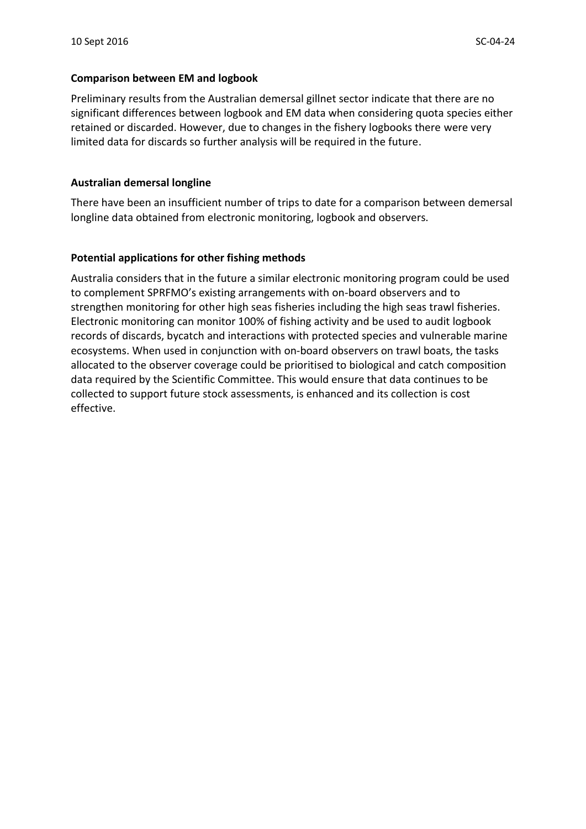#### **Comparison between EM and logbook**

Preliminary results from the Australian demersal gillnet sector indicate that there are no significant differences between logbook and EM data when considering quota species either retained or discarded. However, due to changes in the fishery logbooks there were very limited data for discards so further analysis will be required in the future.

#### **Australian demersal longline**

There have been an insufficient number of trips to date for a comparison between demersal longline data obtained from electronic monitoring, logbook and observers.

#### **Potential applications for other fishing methods**

Australia considers that in the future a similar electronic monitoring program could be used to complement SPRFMO's existing arrangements with on-board observers and to strengthen monitoring for other high seas fisheries including the high seas trawl fisheries. Electronic monitoring can monitor 100% of fishing activity and be used to audit logbook records of discards, bycatch and interactions with protected species and vulnerable marine ecosystems. When used in conjunction with on-board observers on trawl boats, the tasks allocated to the observer coverage could be prioritised to biological and catch composition data required by the Scientific Committee. This would ensure that data continues to be collected to support future stock assessments, is enhanced and its collection is cost effective.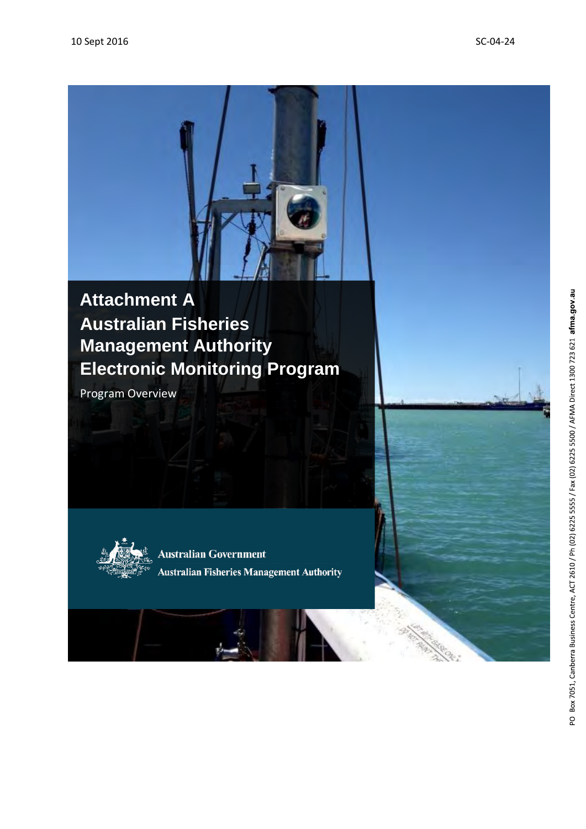# **Australian Fisheries Management Authority Electronic Monitoring Program Attachment A**

Program Overview



**Australian Government Australian Fisheries Management Authority**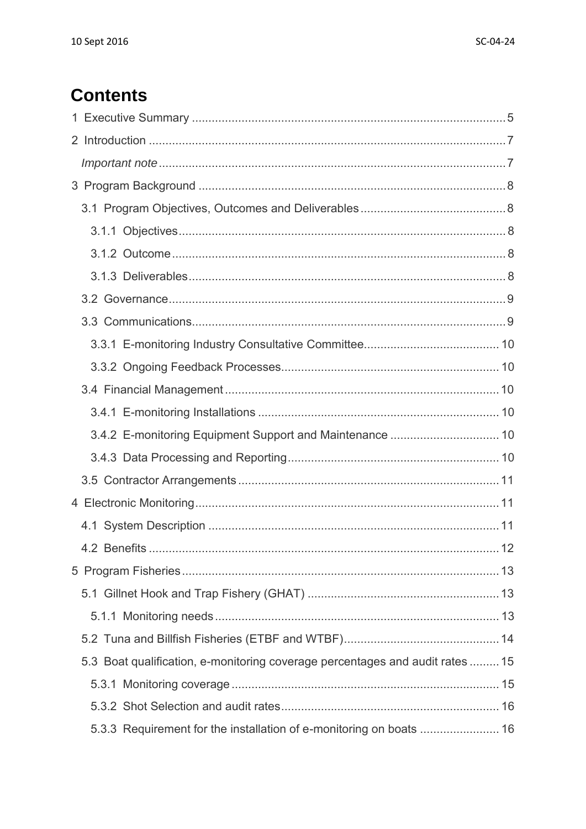# **Contents**

| 5.3 Boat qualification, e-monitoring coverage percentages and audit rates  15 |  |
|-------------------------------------------------------------------------------|--|
|                                                                               |  |
|                                                                               |  |
| 5.3.3 Requirement for the installation of e-monitoring on boats  16           |  |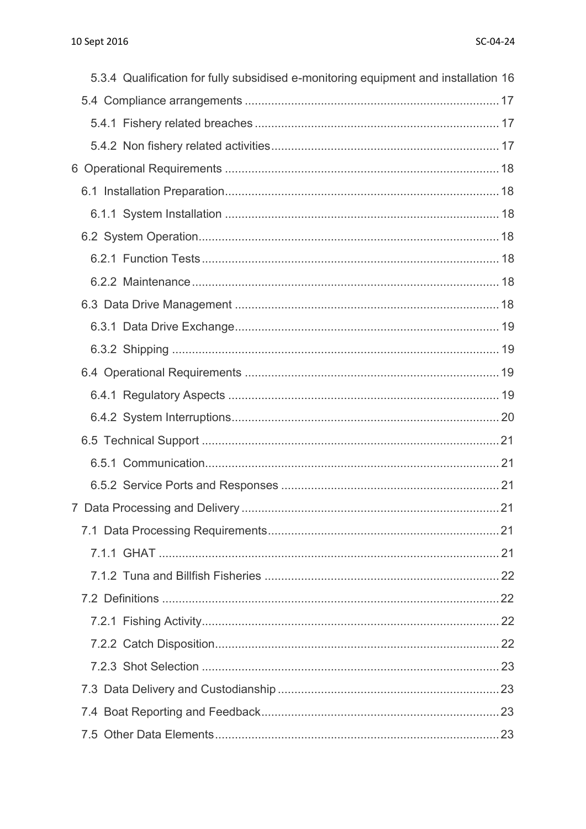| 5.3.4 Qualification for fully subsidised e-monitoring equipment and installation 16 |  |
|-------------------------------------------------------------------------------------|--|
|                                                                                     |  |
|                                                                                     |  |
|                                                                                     |  |
|                                                                                     |  |
|                                                                                     |  |
|                                                                                     |  |
|                                                                                     |  |
|                                                                                     |  |
|                                                                                     |  |
|                                                                                     |  |
|                                                                                     |  |
|                                                                                     |  |
|                                                                                     |  |
|                                                                                     |  |
|                                                                                     |  |
|                                                                                     |  |
|                                                                                     |  |
|                                                                                     |  |
|                                                                                     |  |
|                                                                                     |  |
|                                                                                     |  |
|                                                                                     |  |
|                                                                                     |  |
|                                                                                     |  |
|                                                                                     |  |
|                                                                                     |  |
|                                                                                     |  |
|                                                                                     |  |
|                                                                                     |  |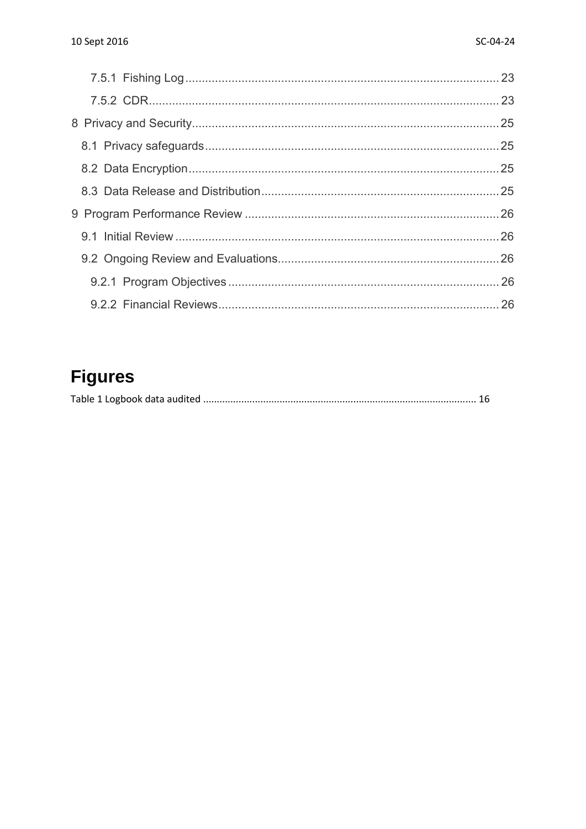# **Figures**

|--|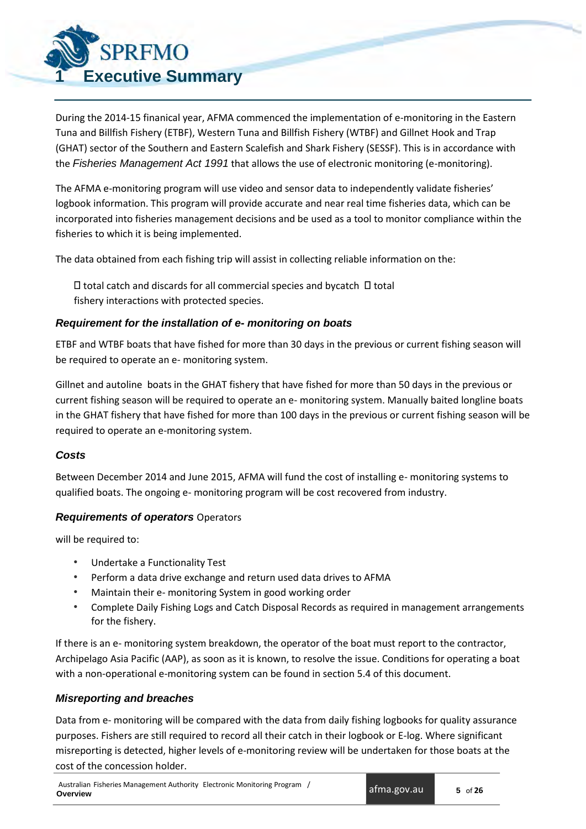

<span id="page-8-0"></span>During the 2014-15 finanical year, AFMA commenced the implementation of e-monitoring in the Eastern Tuna and Billfish Fishery (ETBF), Western Tuna and Billfish Fishery (WTBF) and Gillnet Hook and Trap (GHAT) sector of the Southern and Eastern Scalefish and Shark Fishery (SESSF). This is in accordance with the *Fisheries Management Act 1991* that allows the use of electronic monitoring (e-monitoring).

The AFMA e-monitoring program will use video and sensor data to independently validate fisheries' logbook information. This program will provide accurate and near real time fisheries data, which can be incorporated into fisheries management decisions and be used as a tool to monitor compliance within the fisheries to which it is being implemented.

The data obtained from each fishing trip will assist in collecting reliable information on the:

 $\Box$  total catch and discards for all commercial species and bycatch  $\Box$  total fishery interactions with protected species.

### *Requirement for the installation of e- monitoring on boats*

ETBF and WTBF boats that have fished for more than 30 days in the previous or current fishing season will be required to operate an e- monitoring system.

Gillnet and autoline boats in the GHAT fishery that have fished for more than 50 days in the previous or current fishing season will be required to operate an e- monitoring system. Manually baited longline boats in the GHAT fishery that have fished for more than 100 days in the previous or current fishing season will be required to operate an e-monitoring system.

### *Costs*

Between December 2014 and June 2015, AFMA will fund the cost of installing e- monitoring systems to qualified boats. The ongoing e- monitoring program will be cost recovered from industry.

### *Requirements of operators* Operators

will be required to:

- Undertake a Functionality Test
- Perform a data drive exchange and return used data drives to AFMA
- Maintain their e- monitoring System in good working order
- Complete Daily Fishing Logs and Catch Disposal Records as required in management arrangements for the fishery.

If there is an e- monitoring system breakdown, the operator of the boat must report to the contractor, Archipelago Asia Pacific (AAP), as soon as it is known, to resolve the issue. Conditions for operating a boat with a non-operational e-monitoring system can be found in section 5.4 of this document.

### *Misreporting and breaches*

Data from e- monitoring will be compared with the data from daily fishing logbooks for quality assurance purposes. Fishers are still required to record all their catch in their logbook or E-log. Where significant misreporting is detected, higher levels of e-monitoring review will be undertaken for those boats at the cost of the concession holder.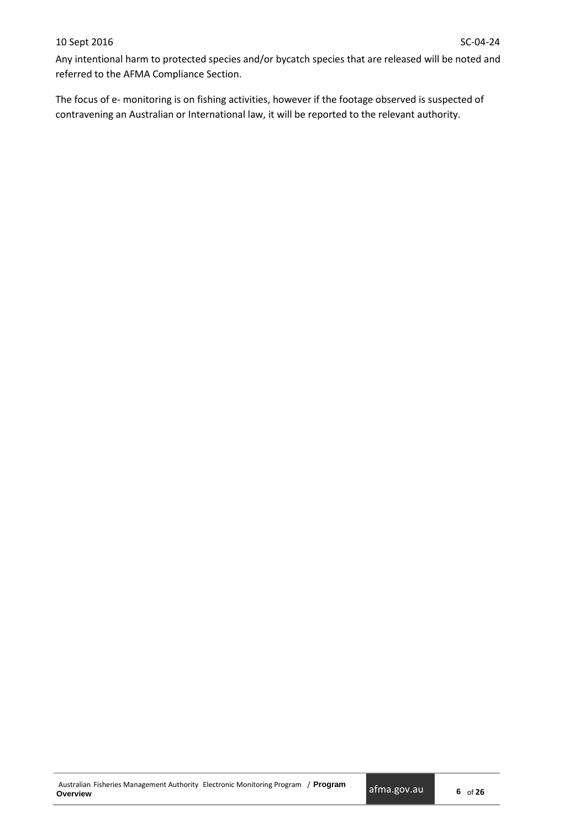Any intentional harm to protected species and/or bycatch species that are released will be noted and referred to the AFMA Compliance Section.

The focus of e- monitoring is on fishing activities, however if the footage observed is suspected of contravening an Australian or International law, it will be reported to the relevant authority.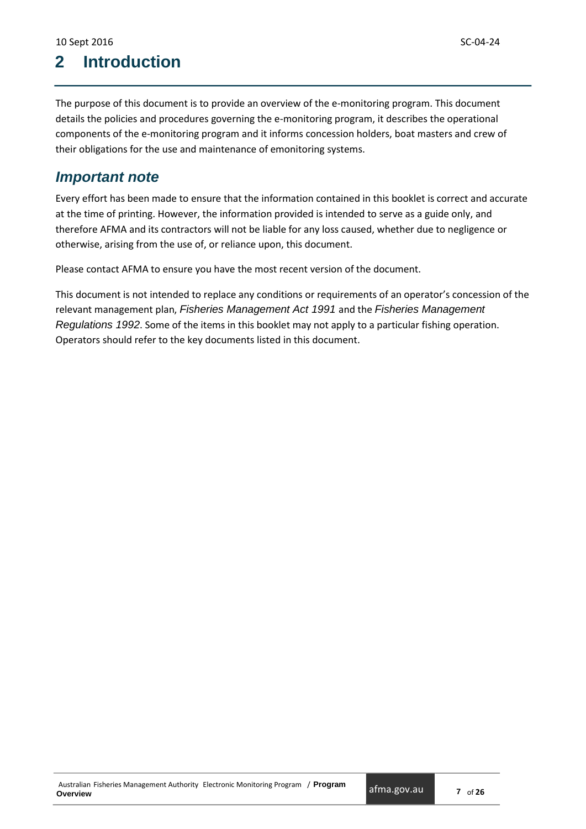# <span id="page-10-0"></span>**2 Introduction**

The purpose of this document is to provide an overview of the e-monitoring program. This document details the policies and procedures governing the e-monitoring program, it describes the operational components of the e-monitoring program and it informs concession holders, boat masters and crew of their obligations for the use and maintenance of emonitoring systems.

## <span id="page-10-1"></span>*Important note*

Every effort has been made to ensure that the information contained in this booklet is correct and accurate at the time of printing. However, the information provided is intended to serve as a guide only, and therefore AFMA and its contractors will not be liable for any loss caused, whether due to negligence or otherwise, arising from the use of, or reliance upon, this document.

Please contact AFMA to ensure you have the most recent version of the document.

<span id="page-10-2"></span>This document is not intended to replace any conditions or requirements of an operator's concession of the relevant management plan, *Fisheries Management Act 1991* and the *Fisheries Management Regulations 1992*. Some of the items in this booklet may not apply to a particular fishing operation. Operators should refer to the key documents listed in this document.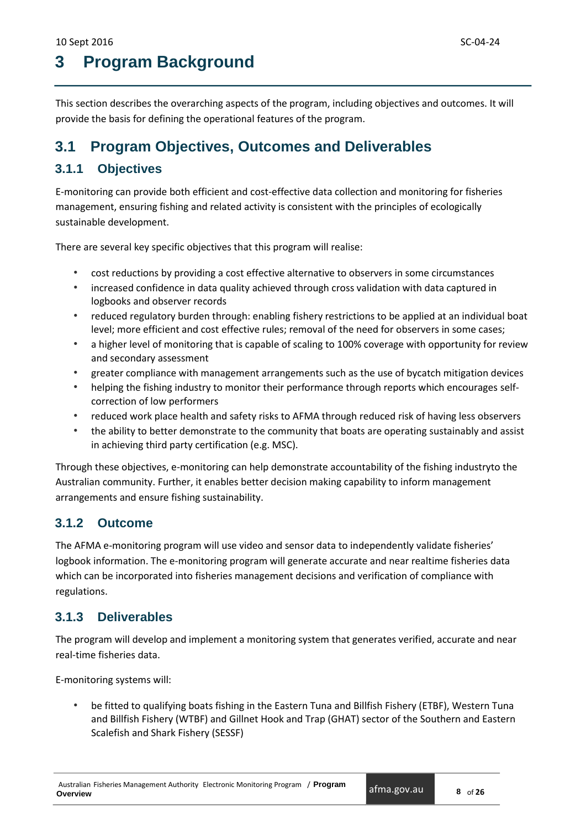# **3 Program Background**

This section describes the overarching aspects of the program, including objectives and outcomes. It will provide the basis for defining the operational features of the program.

# <span id="page-11-0"></span>**3.1 Program Objectives, Outcomes and Deliverables**

### <span id="page-11-1"></span>**3.1.1 Objectives**

E-monitoring can provide both efficient and cost-effective data collection and monitoring for fisheries management, ensuring fishing and related activity is consistent with the principles of ecologically sustainable development.

There are several key specific objectives that this program will realise:

- cost reductions by providing a cost effective alternative to observers in some circumstances
- increased confidence in data quality achieved through cross validation with data captured in logbooks and observer records
- reduced regulatory burden through: enabling fishery restrictions to be applied at an individual boat level; more efficient and cost effective rules; removal of the need for observers in some cases;
- a higher level of monitoring that is capable of scaling to 100% coverage with opportunity for review and secondary assessment
- greater compliance with management arrangements such as the use of bycatch mitigation devices
- helping the fishing industry to monitor their performance through reports which encourages selfcorrection of low performers
- reduced work place health and safety risks to AFMA through reduced risk of having less observers
- the ability to better demonstrate to the community that boats are operating sustainably and assist in achieving third party certification (e.g. MSC).

Through these objectives, e-monitoring can help demonstrate accountability of the fishing industryto the Australian community. Further, it enables better decision making capability to inform management arrangements and ensure fishing sustainability.

### <span id="page-11-2"></span>**3.1.2 Outcome**

The AFMA e-monitoring program will use video and sensor data to independently validate fisheries' logbook information. The e-monitoring program will generate accurate and near realtime fisheries data which can be incorporated into fisheries management decisions and verification of compliance with regulations.

## <span id="page-11-3"></span>**3.1.3 Deliverables**

The program will develop and implement a monitoring system that generates verified, accurate and near real-time fisheries data.

E-monitoring systems will:

• be fitted to qualifying boats fishing in the Eastern Tuna and Billfish Fishery (ETBF), Western Tuna and Billfish Fishery (WTBF) and Gillnet Hook and Trap (GHAT) sector of the Southern and Eastern Scalefish and Shark Fishery (SESSF)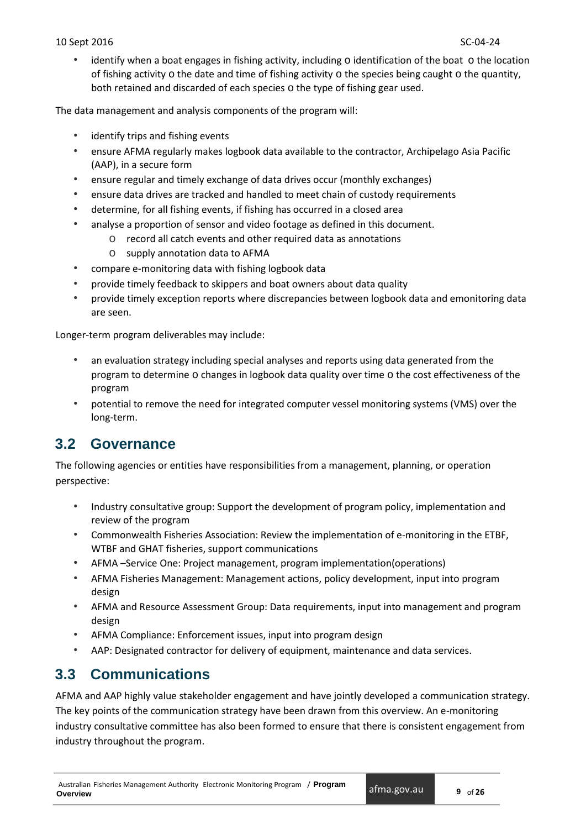#### 10 Sept 2016 SC-04-24

• identify when a boat engages in fishing activity, including  $\circ$  identification of the boat  $\circ$  the location of fishing activity  $\circ$  the date and time of fishing activity  $\circ$  the species being caught  $\circ$  the quantity, both retained and discarded of each species o the type of fishing gear used.

The data management and analysis components of the program will:

- identify trips and fishing events
- ensure AFMA regularly makes logbook data available to the contractor, Archipelago Asia Pacific (AAP), in a secure form
- ensure regular and timely exchange of data drives occur (monthly exchanges)
- ensure data drives are tracked and handled to meet chain of custody requirements
- determine, for all fishing events, if fishing has occurred in a closed area
- analyse a proportion of sensor and video footage as defined in this document.
	- o record all catch events and other required data as annotations
	- o supply annotation data to AFMA
- compare e-monitoring data with fishing logbook data
- provide timely feedback to skippers and boat owners about data quality
- provide timely exception reports where discrepancies between logbook data and emonitoring data are seen.

Longer-term program deliverables may include:

- an evaluation strategy including special analyses and reports using data generated from the program to determine o changes in logbook data quality over time o the cost effectiveness of the program
- potential to remove the need for integrated computer vessel monitoring systems (VMS) over the long-term.

# <span id="page-12-0"></span>**3.2 Governance**

The following agencies or entities have responsibilities from a management, planning, or operation perspective:

- Industry consultative group: Support the development of program policy, implementation and review of the program
- Commonwealth Fisheries Association: Review the implementation of e-monitoring in the ETBF, WTBF and GHAT fisheries, support communications
- AFMA –Service One: Project management, program implementation(operations)
- AFMA Fisheries Management: Management actions, policy development, input into program design
- AFMA and Resource Assessment Group: Data requirements, input into management and program design
- AFMA Compliance: Enforcement issues, input into program design
- AAP: Designated contractor for delivery of equipment, maintenance and data services.

# <span id="page-12-1"></span>**3.3 Communications**

AFMA and AAP highly value stakeholder engagement and have jointly developed a communication strategy. The key points of the communication strategy have been drawn from this overview. An e-monitoring industry consultative committee has also been formed to ensure that there is consistent engagement from industry throughout the program.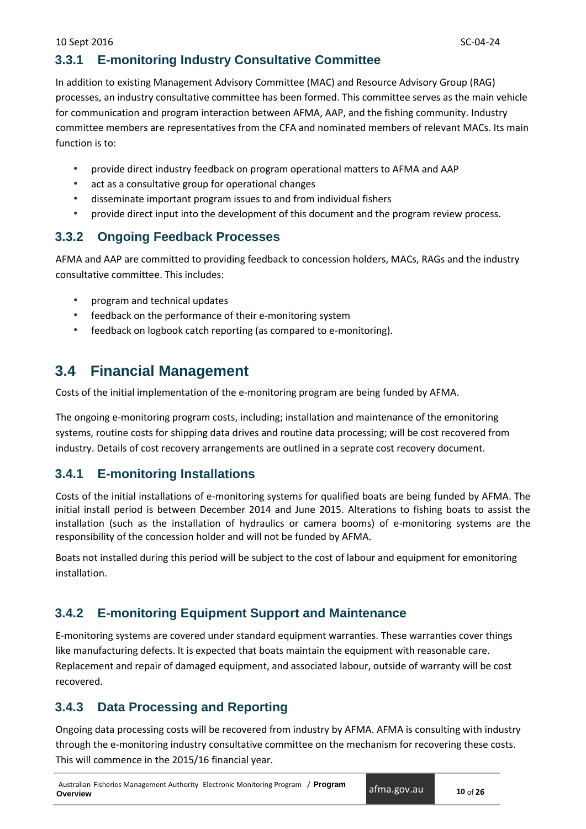## <span id="page-13-0"></span>**3.3.1 E-monitoring Industry Consultative Committee**

In addition to existing Management Advisory Committee (MAC) and Resource Advisory Group (RAG) processes, an industry consultative committee has been formed. This committee serves as the main vehicle for communication and program interaction between AFMA, AAP, and the fishing community. Industry committee members are representatives from the CFA and nominated members of relevant MACs. Its main function is to:

- provide direct industry feedback on program operational matters to AFMA and AAP
- act as a consultative group for operational changes
- disseminate important program issues to and from individual fishers
- provide direct input into the development of this document and the program review process.

## <span id="page-13-1"></span>**3.3.2 Ongoing Feedback Processes**

AFMA and AAP are committed to providing feedback to concession holders, MACs, RAGs and the industry consultative committee. This includes:

- program and technical updates
- feedback on the performance of their e-monitoring system
- feedback on logbook catch reporting (as compared to e-monitoring).

# <span id="page-13-2"></span>**3.4 Financial Management**

Costs of the initial implementation of the e-monitoring program are being funded by AFMA.

The ongoing e-monitoring program costs, including; installation and maintenance of the emonitoring systems, routine costs for shipping data drives and routine data processing; will be cost recovered from industry. Details of cost recovery arrangements are outlined in a seprate cost recovery document.

## <span id="page-13-3"></span>**3.4.1 E-monitoring Installations**

Costs of the initial installations of e-monitoring systems for qualified boats are being funded by AFMA. The initial install period is between December 2014 and June 2015. Alterations to fishing boats to assist the installation (such as the installation of hydraulics or camera booms) of e-monitoring systems are the responsibility of the concession holder and will not be funded by AFMA.

Boats not installed during this period will be subject to the cost of labour and equipment for emonitoring installation.

## <span id="page-13-4"></span>**3.4.2 E-monitoring Equipment Support and Maintenance**

E-monitoring systems are covered under standard equipment warranties. These warranties cover things like manufacturing defects. It is expected that boats maintain the equipment with reasonable care. Replacement and repair of damaged equipment, and associated labour, outside of warranty will be cost recovered.

## <span id="page-13-5"></span>**3.4.3 Data Processing and Reporting**

Ongoing data processing costs will be recovered from industry by AFMA. AFMA is consulting with industry through the e-monitoring industry consultative committee on the mechanism for recovering these costs. This will commence in the 2015/16 financial year.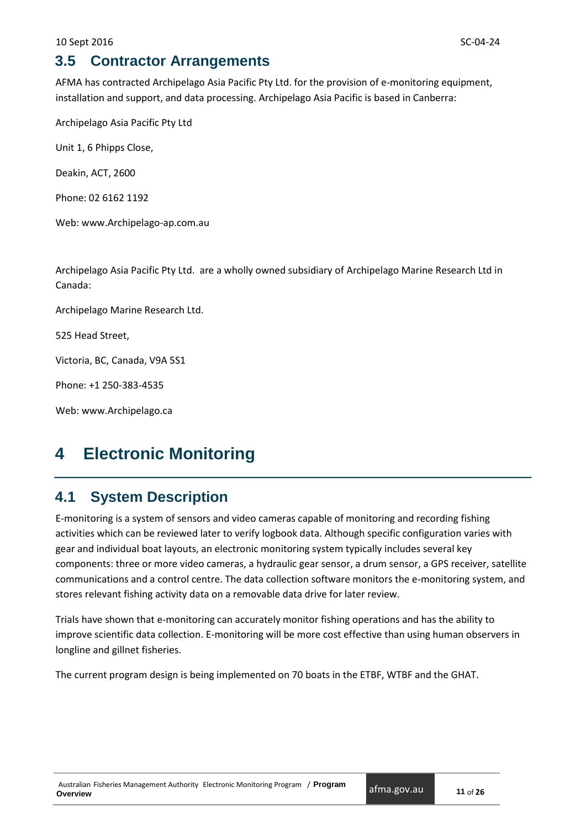# <span id="page-14-0"></span>**3.5 Contractor Arrangements**

AFMA has contracted Archipelago Asia Pacific Pty Ltd. for the provision of e-monitoring equipment, installation and support, and data processing. Archipelago Asia Pacific is based in Canberra:

Archipelago Asia Pacific Pty Ltd

Unit 1, 6 Phipps Close,

Deakin, ACT, 2600

Phone: 02 6162 1192

Web: www.Archipelago-ap.com.au

Archipelago Asia Pacific Pty Ltd. are a wholly owned subsidiary of Archipelago Marine Research Ltd in Canada:

Archipelago Marine Research Ltd.

525 Head Street,

Victoria, BC, Canada, V9A 5S1

Phone: +1 250-383-4535

Web: [www.Archipelago.ca](http://www.archipelago.ca/)

# <span id="page-14-1"></span>**4 Electronic Monitoring**

## <span id="page-14-2"></span>**4.1 System Description**

E-monitoring is a system of sensors and video cameras capable of monitoring and recording fishing activities which can be reviewed later to verify logbook data. Although specific configuration varies with gear and individual boat layouts, an electronic monitoring system typically includes several key components: three or more video cameras, a hydraulic gear sensor, a drum sensor, a GPS receiver, satellite communications and a control centre. The data collection software monitors the e-monitoring system, and stores relevant fishing activity data on a removable data drive for later review.

Trials have shown that e-monitoring can accurately monitor fishing operations and has the ability to improve scientific data collection. E-monitoring will be more cost effective than using human observers in longline and gillnet fisheries.

<span id="page-14-3"></span>The current program design is being implemented on 70 boats in the ETBF, WTBF and the GHAT.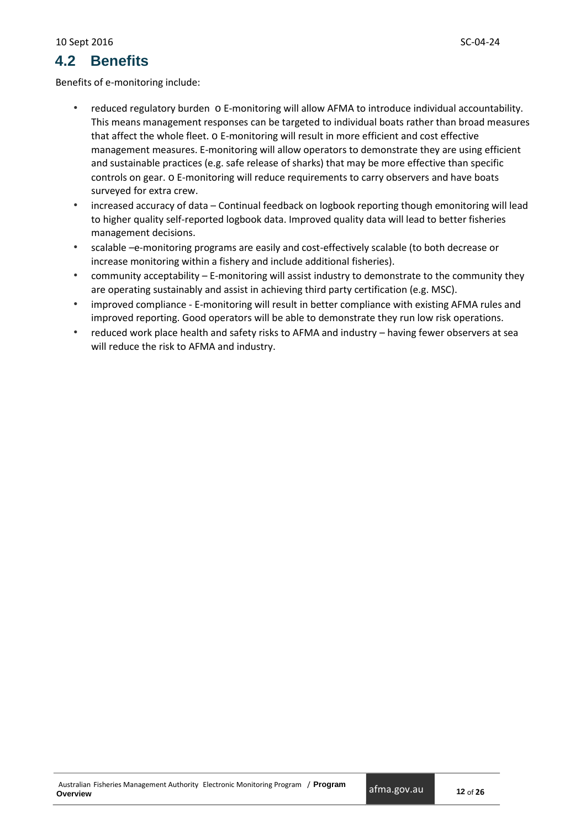# **4.2 Benefits**

Benefits of e-monitoring include:

- reduced regulatory burden o E-monitoring will allow AFMA to introduce individual accountability. This means management responses can be targeted to individual boats rather than broad measures that affect the whole fleet. o E-monitoring will result in more efficient and cost effective management measures. E-monitoring will allow operators to demonstrate they are using efficient and sustainable practices (e.g. safe release of sharks) that may be more effective than specific controls on gear. o E-monitoring will reduce requirements to carry observers and have boats surveyed for extra crew.
- increased accuracy of data Continual feedback on logbook reporting though emonitoring will lead to higher quality self-reported logbook data. Improved quality data will lead to better fisheries management decisions.
- scalable –e-monitoring programs are easily and cost-effectively scalable (to both decrease or increase monitoring within a fishery and include additional fisheries).
- community acceptability E-monitoring will assist industry to demonstrate to the community they are operating sustainably and assist in achieving third party certification (e.g. MSC).
- improved compliance E-monitoring will result in better compliance with existing AFMA rules and improved reporting. Good operators will be able to demonstrate they run low risk operations.
- <span id="page-15-0"></span>• reduced work place health and safety risks to AFMA and industry – having fewer observers at sea will reduce the risk to AFMA and industry.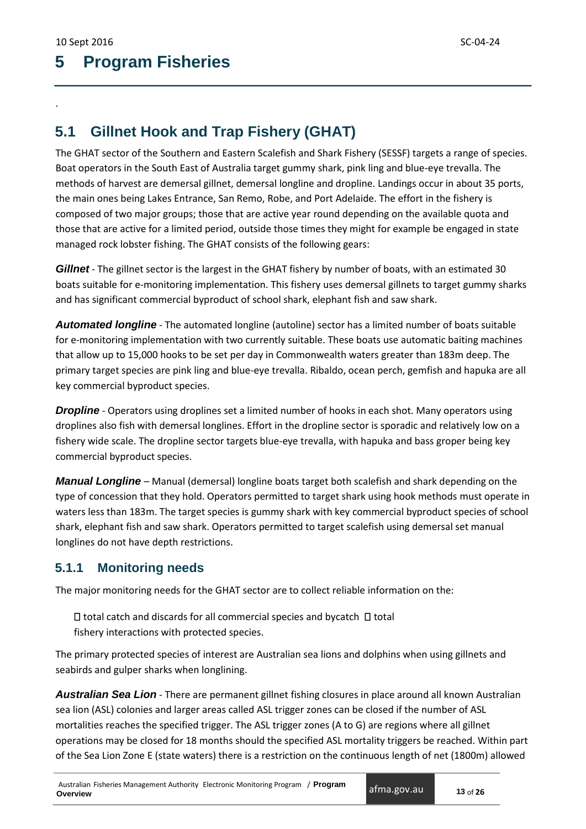.

# **5 Program Fisheries**

# <span id="page-16-0"></span>**5.1 Gillnet Hook and Trap Fishery (GHAT)**

The GHAT sector of the Southern and Eastern Scalefish and Shark Fishery (SESSF) targets a range of species. Boat operators in the South East of Australia target gummy shark, pink ling and blue-eye trevalla. The methods of harvest are demersal gillnet, demersal longline and dropline. Landings occur in about 35 ports, the main ones being Lakes Entrance, San Remo, Robe, and Port Adelaide. The effort in the fishery is composed of two major groups; those that are active year round depending on the available quota and those that are active for a limited period, outside those times they might for example be engaged in state managed rock lobster fishing. The GHAT consists of the following gears:

*Gillnet* - The gillnet sector is the largest in the GHAT fishery by number of boats, with an estimated 30 boats suitable for e-monitoring implementation. This fishery uses demersal gillnets to target gummy sharks and has significant commercial byproduct of school shark, elephant fish and saw shark.

*Automated longline* - The automated longline (autoline) sector has a limited number of boats suitable for e-monitoring implementation with two currently suitable. These boats use automatic baiting machines that allow up to 15,000 hooks to be set per day in Commonwealth waters greater than 183m deep. The primary target species are pink ling and blue-eye trevalla. Ribaldo, ocean perch, gemfish and hapuka are all key commercial byproduct species.

*Dropline* - Operators using droplines set a limited number of hooks in each shot. Many operators using droplines also fish with demersal longlines. Effort in the dropline sector is sporadic and relatively low on a fishery wide scale. The dropline sector targets blue-eye trevalla, with hapuka and bass groper being key commercial byproduct species.

*Manual Longline* – Manual (demersal) longline boats target both scalefish and shark depending on the type of concession that they hold. Operators permitted to target shark using hook methods must operate in waters less than 183m. The target species is gummy shark with key commercial byproduct species of school shark, elephant fish and saw shark. Operators permitted to target scalefish using demersal set manual longlines do not have depth restrictions.

## <span id="page-16-1"></span>**5.1.1 Monitoring needs**

The major monitoring needs for the GHAT sector are to collect reliable information on the:

 $\Box$  total catch and discards for all commercial species and bycatch  $\Box$  total fishery interactions with protected species.

The primary protected species of interest are Australian sea lions and dolphins when using gillnets and seabirds and gulper sharks when longlining.

*Australian Sea Lion* - There are permanent gillnet fishing closures in place around all known Australian sea lion (ASL) colonies and larger areas called ASL trigger zones can be closed if the number of ASL mortalities reaches the specified trigger. The ASL trigger zones (A to G) are regions where all gillnet operations may be closed for 18 months should the specified ASL mortality triggers be reached. Within part of the Sea Lion Zone E (state waters) there is a restriction on the continuous length of net (1800m) allowed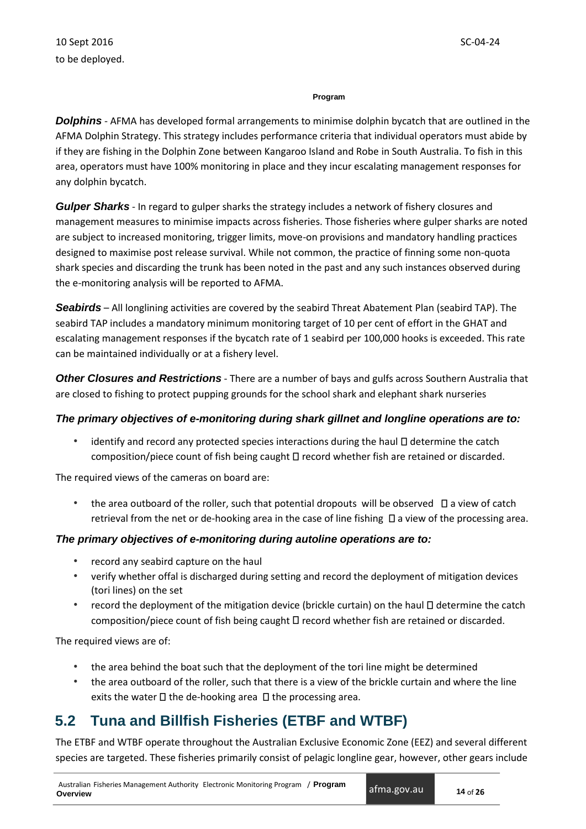#### **Program**

*Dolphins* - AFMA has developed formal arrangements to minimise dolphin bycatch that are outlined in the AFMA Dolphin Strategy. This strategy includes performance criteria that individual operators must abide by if they are fishing in the Dolphin Zone between Kangaroo Island and Robe in South Australia. To fish in this area, operators must have 100% monitoring in place and they incur escalating management responses for any dolphin bycatch.

*Gulper Sharks* - In regard to gulper sharks the strategy includes a network of fishery closures and management measures to minimise impacts across fisheries. Those fisheries where gulper sharks are noted are subject to increased monitoring, trigger limits, move-on provisions and mandatory handling practices designed to maximise post release survival. While not common, the practice of finning some non-quota shark species and discarding the trunk has been noted in the past and any such instances observed during the e-monitoring analysis will be reported to AFMA.

*Seabirds* – All longlining activities are covered by the seabird Threat Abatement Plan (seabird TAP). The seabird TAP includes a mandatory minimum monitoring target of 10 per cent of effort in the GHAT and escalating management responses if the bycatch rate of 1 seabird per 100,000 hooks is exceeded. This rate can be maintained individually or at a fishery level.

*Other Closures and Restrictions* - There are a number of bays and gulfs across Southern Australia that are closed to fishing to protect pupping grounds for the school shark and elephant shark nurseries

### *The primary objectives of e-monitoring during shark gillnet and longline operations are to:*

identify and record any protected species interactions during the haul  $\Box$  determine the catch composition/piece count of fish being caught  $\square$  record whether fish are retained or discarded.

The required views of the cameras on board are:

the area outboard of the roller, such that potential dropouts will be observed  $\Box$  a view of catch retrieval from the net or de-hooking area in the case of line fishing  $\Box$  a view of the processing area.

### *The primary objectives of e-monitoring during autoline operations are to:*

- record any seabird capture on the haul
- verify whether offal is discharged during setting and record the deployment of mitigation devices (tori lines) on the set
- record the deployment of the mitigation device (brickle curtain) on the haul  $\Box$  determine the catch composition/piece count of fish being caught  $\square$  record whether fish are retained or discarded.

The required views are of:

- the area behind the boat such that the deployment of the tori line might be determined
- the area outboard of the roller, such that there is a view of the brickle curtain and where the line exits the water  $\Box$  the de-hooking area  $\Box$  the processing area.

# <span id="page-17-0"></span>**5.2 Tuna and Billfish Fisheries (ETBF and WTBF)**

The ETBF and WTBF operate throughout the Australian Exclusive Economic Zone (EEZ) and several different species are targeted. These fisheries primarily consist of pelagic longline gear, however, other gears include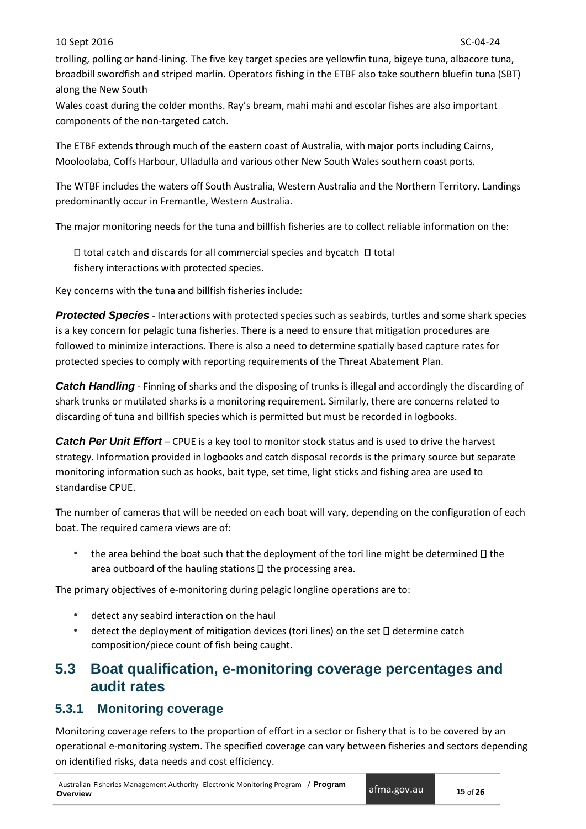#### 10 Sept 2016 SC-04-24

trolling, polling or hand-lining. The five key target species are yellowfin tuna, bigeye tuna, albacore tuna, broadbill swordfish and striped marlin. Operators fishing in the ETBF also take southern bluefin tuna (SBT) along the New South

Wales coast during the colder months. Ray's bream, mahi mahi and escolar fishes are also important components of the non-targeted catch.

The ETBF extends through much of the eastern coast of Australia, with major ports including Cairns, Mooloolaba, Coffs Harbour, Ulladulla and various other New South Wales southern coast ports.

The WTBF includes the waters off South Australia, Western Australia and the Northern Territory. Landings predominantly occur in Fremantle, Western Australia.

The major monitoring needs for the tuna and billfish fisheries are to collect reliable information on the:

 $\Box$  total catch and discards for all commercial species and bycatch  $\Box$  total fishery interactions with protected species.

Key concerns with the tuna and billfish fisheries include:

*Protected Species* - Interactions with protected species such as seabirds, turtles and some shark species is a key concern for pelagic tuna fisheries. There is a need to ensure that mitigation procedures are followed to minimize interactions. There is also a need to determine spatially based capture rates for protected species to comply with reporting requirements of the Threat Abatement Plan.

*Catch Handling* - Finning of sharks and the disposing of trunks is illegal and accordingly the discarding of shark trunks or mutilated sharks is a monitoring requirement. Similarly, there are concerns related to discarding of tuna and billfish species which is permitted but must be recorded in logbooks.

*Catch Per Unit Effort* – CPUE is a key tool to monitor stock status and is used to drive the harvest strategy. Information provided in logbooks and catch disposal records is the primary source but separate monitoring information such as hooks, bait type, set time, light sticks and fishing area are used to standardise CPUE.

The number of cameras that will be needed on each boat will vary, depending on the configuration of each boat. The required camera views are of:

• the area behind the boat such that the deployment of the tori line might be determined  $\Box$  the area outboard of the hauling stations  $\Box$  the processing area.

The primary objectives of e-monitoring during pelagic longline operations are to:

- detect any seabird interaction on the haul
- detect the deployment of mitigation devices (tori lines) on the set  $\square$  determine catch composition/piece count of fish being caught.

# <span id="page-18-0"></span>**5.3 Boat qualification, e-monitoring coverage percentages and audit rates**

### <span id="page-18-1"></span>**5.3.1 Monitoring coverage**

Monitoring coverage refers to the proportion of effort in a sector or fishery that is to be covered by an operational e-monitoring system. The specified coverage can vary between fisheries and sectors depending on identified risks, data needs and cost efficiency.

Australian Fisheries Management Authority Electronic Monitoring Program / **Program Overview**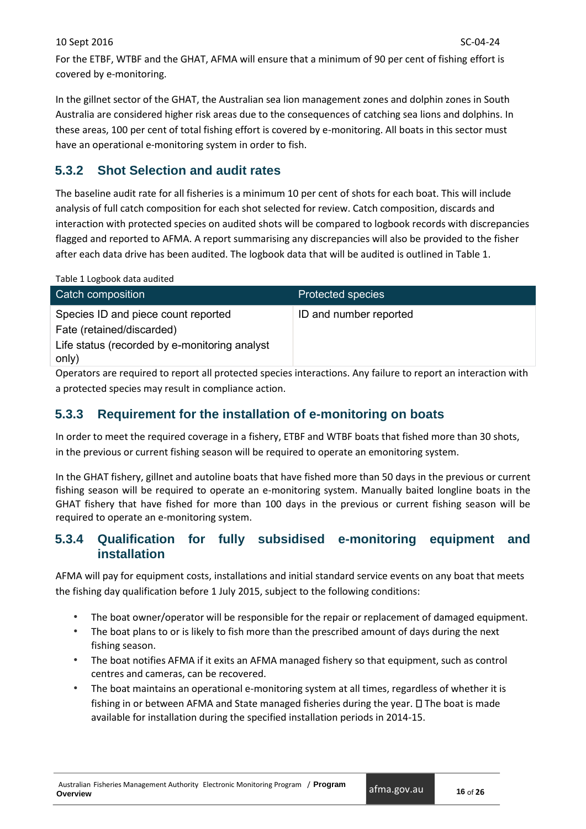For the ETBF, WTBF and the GHAT, AFMA will ensure that a minimum of 90 per cent of fishing effort is covered by e-monitoring.

In the gillnet sector of the GHAT, the Australian sea lion management zones and dolphin zones in South Australia are considered higher risk areas due to the consequences of catching sea lions and dolphins. In these areas, 100 per cent of total fishing effort is covered by e-monitoring. All boats in this sector must have an operational e-monitoring system in order to fish.

## <span id="page-19-0"></span>**5.3.2 Shot Selection and audit rates**

The baseline audit rate for all fisheries is a minimum 10 per cent of shots for each boat. This will include analysis of full catch composition for each shot selected for review. Catch composition, discards and interaction with protected species on audited shots will be compared to logbook records with discrepancies flagged and reported to AFMA. A report summarising any discrepancies will also be provided to the fisher after each data drive has been audited. The logbook data that will be audited is outlined in Table 1.

|  | Table 1 Logbook data audited |  |  |
|--|------------------------------|--|--|
|--|------------------------------|--|--|

| Catch composition                                                          | <b>Protected species</b> |
|----------------------------------------------------------------------------|--------------------------|
| Species ID and piece count reported                                        | ID and number reported   |
| Fate (retained/discarded)<br>Life status (recorded by e-monitoring analyst |                          |
| only)                                                                      |                          |

Operators are required to report all protected species interactions. Any failure to report an interaction with a protected species may result in compliance action.

## <span id="page-19-1"></span>**5.3.3 Requirement for the installation of e-monitoring on boats**

In order to meet the required coverage in a fishery, ETBF and WTBF boats that fished more than 30 shots, in the previous or current fishing season will be required to operate an emonitoring system.

In the GHAT fishery, gillnet and autoline boats that have fished more than 50 days in the previous or current fishing season will be required to operate an e-monitoring system. Manually baited longline boats in the GHAT fishery that have fished for more than 100 days in the previous or current fishing season will be required to operate an e-monitoring system.

## <span id="page-19-2"></span>**5.3.4 Qualification for fully subsidised e-monitoring equipment and installation**

AFMA will pay for equipment costs, installations and initial standard service events on any boat that meets the fishing day qualification before 1 July 2015, subject to the following conditions:

- The boat owner/operator will be responsible for the repair or replacement of damaged equipment.
- The boat plans to or is likely to fish more than the prescribed amount of days during the next fishing season.
- The boat notifies AFMA if it exits an AFMA managed fishery so that equipment, such as control centres and cameras, can be recovered.
- The boat maintains an operational e-monitoring system at all times, regardless of whether it is fishing in or between AFMA and State managed fisheries during the year.  $\square$  The boat is made available for installation during the specified installation periods in 2014-15.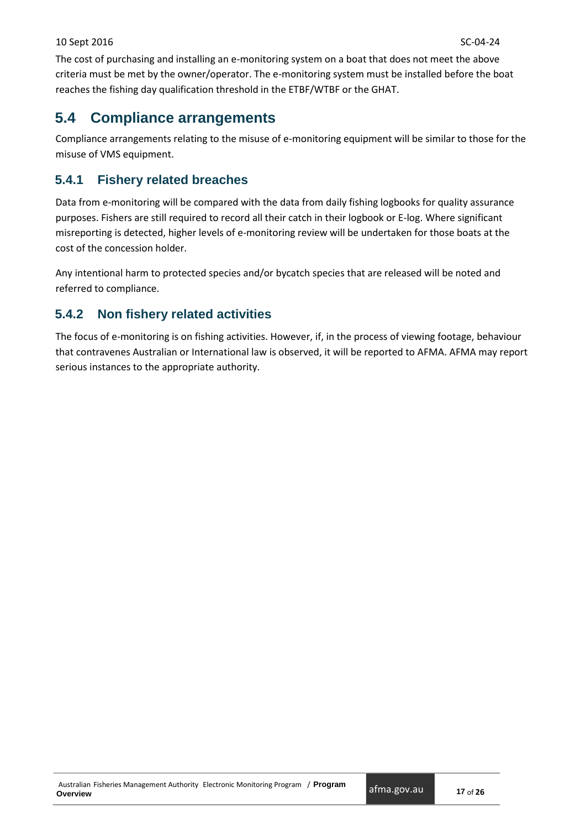The cost of purchasing and installing an e-monitoring system on a boat that does not meet the above criteria must be met by the owner/operator. The e-monitoring system must be installed before the boat reaches the fishing day qualification threshold in the ETBF/WTBF or the GHAT.

# <span id="page-20-0"></span>**5.4 Compliance arrangements**

Compliance arrangements relating to the misuse of e-monitoring equipment will be similar to those for the misuse of VMS equipment.

## <span id="page-20-1"></span>**5.4.1 Fishery related breaches**

Data from e-monitoring will be compared with the data from daily fishing logbooks for quality assurance purposes. Fishers are still required to record all their catch in their logbook or E-log. Where significant misreporting is detected, higher levels of e-monitoring review will be undertaken for those boats at the cost of the concession holder.

Any intentional harm to protected species and/or bycatch species that are released will be noted and referred to compliance.

## <span id="page-20-2"></span>**5.4.2 Non fishery related activities**

<span id="page-20-3"></span>The focus of e-monitoring is on fishing activities. However, if, in the process of viewing footage, behaviour that contravenes Australian or International law is observed, it will be reported to AFMA. AFMA may report serious instances to the appropriate authority.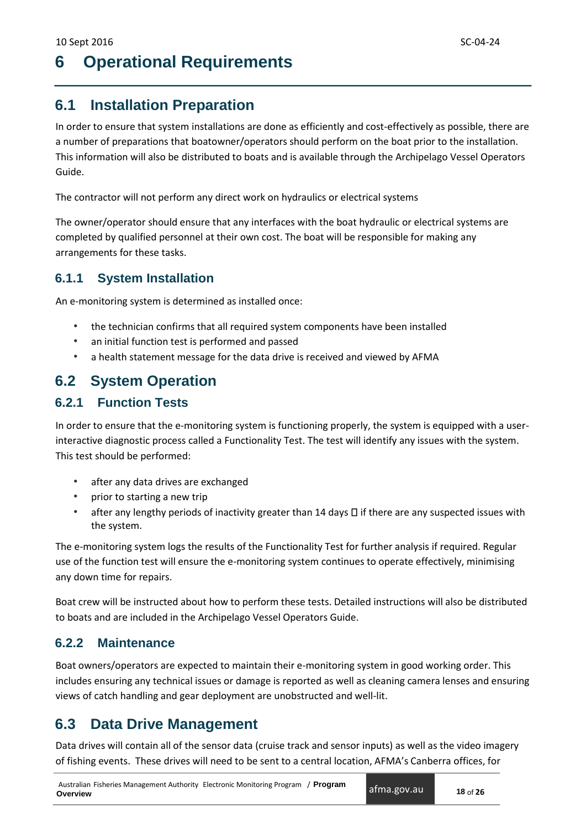# **6 Operational Requirements**

# <span id="page-21-0"></span>**6.1 Installation Preparation**

In order to ensure that system installations are done as efficiently and cost-effectively as possible, there are a number of preparations that boatowner/operators should perform on the boat prior to the installation. This information will also be distributed to boats and is available through the Archipelago Vessel Operators Guide.

The contractor will not perform any direct work on hydraulics or electrical systems

The owner/operator should ensure that any interfaces with the boat hydraulic or electrical systems are completed by qualified personnel at their own cost. The boat will be responsible for making any arrangements for these tasks.

### <span id="page-21-1"></span>**6.1.1 System Installation**

An e-monitoring system is determined as installed once:

- the technician confirms that all required system components have been installed
- an initial function test is performed and passed
- a health statement message for the data drive is received and viewed by AFMA

## <span id="page-21-2"></span>**6.2 System Operation**

## <span id="page-21-3"></span>**6.2.1 Function Tests**

In order to ensure that the e-monitoring system is functioning properly, the system is equipped with a userinteractive diagnostic process called a Functionality Test. The test will identify any issues with the system. This test should be performed:

- after any data drives are exchanged
- prior to starting a new trip
- after any lengthy periods of inactivity greater than 14 days  $\Box$  if there are any suspected issues with the system.

The e-monitoring system logs the results of the Functionality Test for further analysis if required. Regular use of the function test will ensure the e-monitoring system continues to operate effectively, minimising any down time for repairs.

Boat crew will be instructed about how to perform these tests. Detailed instructions will also be distributed to boats and are included in the Archipelago Vessel Operators Guide.

### <span id="page-21-4"></span>**6.2.2 Maintenance**

Boat owners/operators are expected to maintain their e-monitoring system in good working order. This includes ensuring any technical issues or damage is reported as well as cleaning camera lenses and ensuring views of catch handling and gear deployment are unobstructed and well-lit.

## <span id="page-21-5"></span>**6.3 Data Drive Management**

Data drives will contain all of the sensor data (cruise track and sensor inputs) as well as the video imagery of fishing events. These drives will need to be sent to a central location, AFMA's Canberra offices, for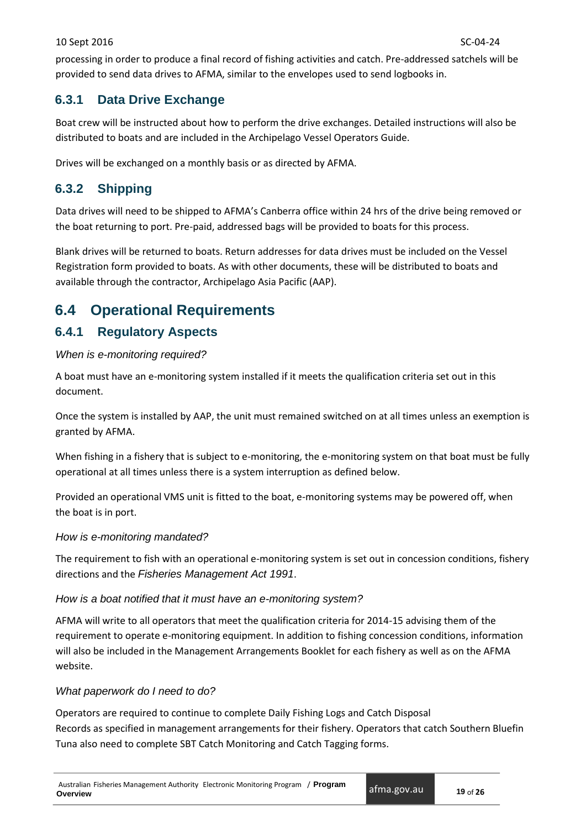processing in order to produce a final record of fishing activities and catch. Pre-addressed satchels will be provided to send data drives to AFMA, similar to the envelopes used to send logbooks in.

## <span id="page-22-0"></span>**6.3.1 Data Drive Exchange**

Boat crew will be instructed about how to perform the drive exchanges. Detailed instructions will also be distributed to boats and are included in the Archipelago Vessel Operators Guide.

Drives will be exchanged on a monthly basis or as directed by AFMA.

## <span id="page-22-1"></span>**6.3.2 Shipping**

Data drives will need to be shipped to AFMA's Canberra office within 24 hrs of the drive being removed or the boat returning to port. Pre-paid, addressed bags will be provided to boats for this process.

Blank drives will be returned to boats. Return addresses for data drives must be included on the Vessel Registration form provided to boats. As with other documents, these will be distributed to boats and available through the contractor, Archipelago Asia Pacific (AAP).

# <span id="page-22-2"></span>**6.4 Operational Requirements**

## <span id="page-22-3"></span>**6.4.1 Regulatory Aspects**

### *When is e-monitoring required?*

A boat must have an e-monitoring system installed if it meets the qualification criteria set out in this document.

Once the system is installed by AAP, the unit must remained switched on at all times unless an exemption is granted by AFMA.

When fishing in a fishery that is subject to e-monitoring, the e-monitoring system on that boat must be fully operational at all times unless there is a system interruption as defined below.

Provided an operational VMS unit is fitted to the boat, e-monitoring systems may be powered off, when the boat is in port.

### *How is e-monitoring mandated?*

The requirement to fish with an operational e-monitoring system is set out in concession conditions, fishery directions and the *Fisheries Management Act 1991*.

### *How is a boat notified that it must have an e-monitoring system?*

AFMA will write to all operators that meet the qualification criteria for 2014-15 advising them of the requirement to operate e-monitoring equipment. In addition to fishing concession conditions, information will also be included in the Management Arrangements Booklet for each fishery as well as on the AFMA website.

### *What paperwork do I need to do?*

Operators are required to continue to complete Daily Fishing Logs and Catch Disposal Records as specified in management arrangements for their fishery. Operators that catch Southern Bluefin Tuna also need to complete SBT Catch Monitoring and Catch Tagging forms.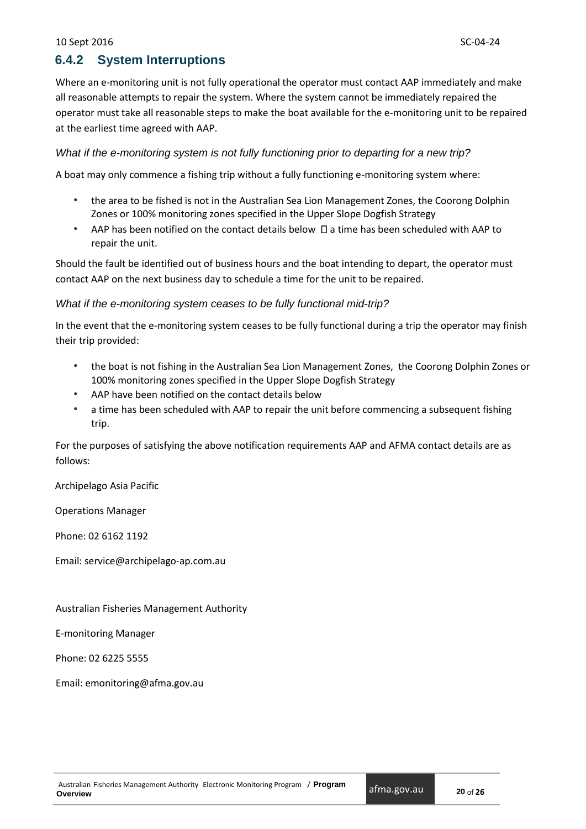### <span id="page-23-0"></span>**6.4.2 System Interruptions**

Where an e-monitoring unit is not fully operational the operator must contact AAP immediately and make all reasonable attempts to repair the system. Where the system cannot be immediately repaired the operator must take all reasonable steps to make the boat available for the e-monitoring unit to be repaired at the earliest time agreed with AAP.

#### *What if the e-monitoring system is not fully functioning prior to departing for a new trip?*

A boat may only commence a fishing trip without a fully functioning e-monitoring system where:

- the area to be fished is not in the Australian Sea Lion Management Zones, the Coorong Dolphin Zones or 100% monitoring zones specified in the Upper Slope Dogfish Strategy
- AAP has been notified on the contact details below  $\Box$  a time has been scheduled with AAP to repair the unit.

Should the fault be identified out of business hours and the boat intending to depart, the operator must contact AAP on the next business day to schedule a time for the unit to be repaired.

#### *What if the e-monitoring system ceases to be fully functional mid-trip?*

In the event that the e-monitoring system ceases to be fully functional during a trip the operator may finish their trip provided:

- the boat is not fishing in the Australian Sea Lion Management Zones, the Coorong Dolphin Zones or 100% monitoring zones specified in the Upper Slope Dogfish Strategy
- AAP have been notified on the contact details below
- a time has been scheduled with AAP to repair the unit before commencing a subsequent fishing trip.

For the purposes of satisfying the above notification requirements AAP and AFMA contact details are as follows:

Archipelago Asia Pacific

Operations Manager

Phone: 02 6162 1192

Email: service@archipelago-ap.com.au

Australian Fisheries Management Authority

E-monitoring Manager

Phone: 02 6225 5555

<span id="page-23-1"></span>Email: emonitoring@afma.gov.au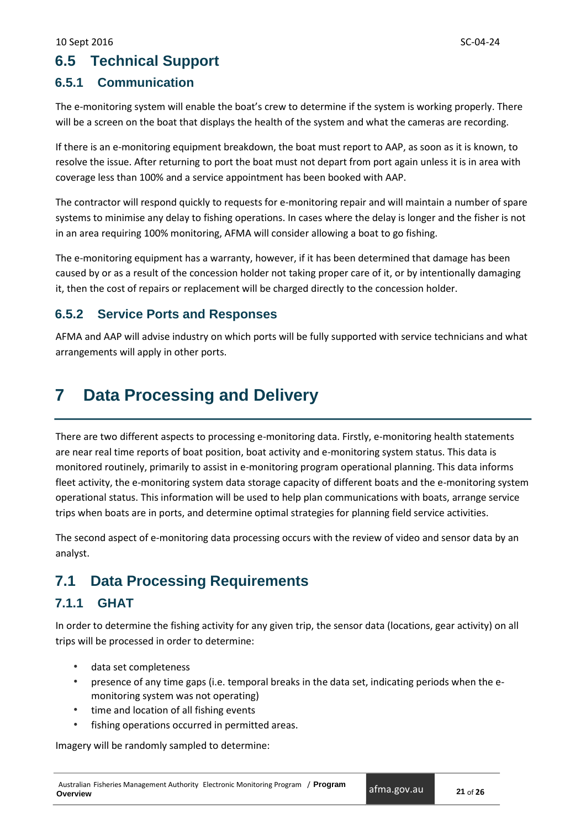## **6.5 Technical Support**

## <span id="page-24-0"></span>**6.5.1 Communication**

The e-monitoring system will enable the boat's crew to determine if the system is working properly. There will be a screen on the boat that displays the health of the system and what the cameras are recording.

If there is an e-monitoring equipment breakdown, the boat must report to AAP, as soon as it is known, to resolve the issue. After returning to port the boat must not depart from port again unless it is in area with coverage less than 100% and a service appointment has been booked with AAP.

The contractor will respond quickly to requests for e-monitoring repair and will maintain a number of spare systems to minimise any delay to fishing operations. In cases where the delay is longer and the fisher is not in an area requiring 100% monitoring, AFMA will consider allowing a boat to go fishing.

The e-monitoring equipment has a warranty, however, if it has been determined that damage has been caused by or as a result of the concession holder not taking proper care of it, or by intentionally damaging it, then the cost of repairs or replacement will be charged directly to the concession holder.

### <span id="page-24-1"></span>**6.5.2 Service Ports and Responses**

AFMA and AAP will advise industry on which ports will be fully supported with service technicians and what arrangements will apply in other ports.

# <span id="page-24-2"></span>**7 Data Processing and Delivery**

There are two different aspects to processing e-monitoring data. Firstly, e-monitoring health statements are near real time reports of boat position, boat activity and e-monitoring system status. This data is monitored routinely, primarily to assist in e-monitoring program operational planning. This data informs fleet activity, the e-monitoring system data storage capacity of different boats and the e-monitoring system operational status. This information will be used to help plan communications with boats, arrange service trips when boats are in ports, and determine optimal strategies for planning field service activities.

The second aspect of e-monitoring data processing occurs with the review of video and sensor data by an analyst.

# <span id="page-24-3"></span>**7.1 Data Processing Requirements**

## <span id="page-24-4"></span>**7.1.1 GHAT**

In order to determine the fishing activity for any given trip, the sensor data (locations, gear activity) on all trips will be processed in order to determine:

- data set completeness
- presence of any time gaps (i.e. temporal breaks in the data set, indicating periods when the emonitoring system was not operating)
- time and location of all fishing events
- fishing operations occurred in permitted areas.

Imagery will be randomly sampled to determine: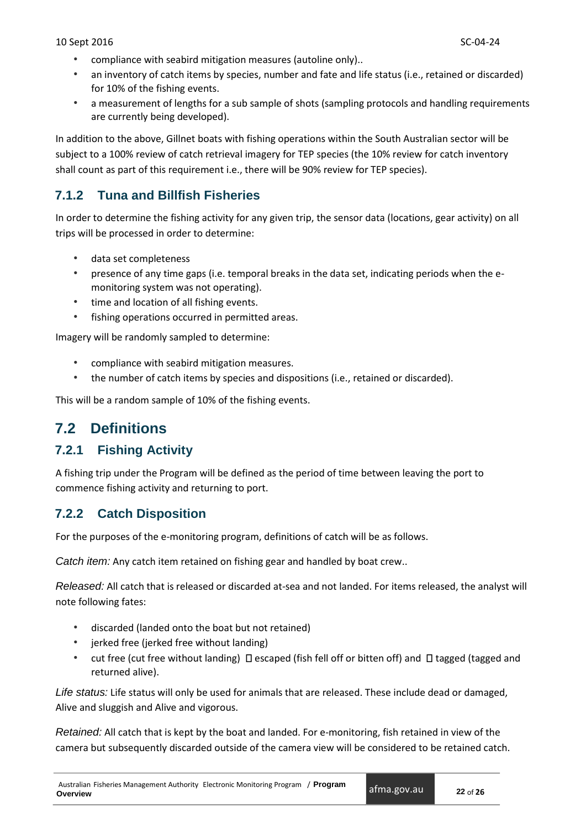- compliance with seabird mitigation measures (autoline only)..
- an inventory of catch items by species, number and fate and life status (i.e., retained or discarded) for 10% of the fishing events.
- a measurement of lengths for a sub sample of shots (sampling protocols and handling requirements are currently being developed).

In addition to the above, Gillnet boats with fishing operations within the South Australian sector will be subject to a 100% review of catch retrieval imagery for TEP species (the 10% review for catch inventory shall count as part of this requirement i.e., there will be 90% review for TEP species).

## <span id="page-25-0"></span>**7.1.2 Tuna and Billfish Fisheries**

In order to determine the fishing activity for any given trip, the sensor data (locations, gear activity) on all trips will be processed in order to determine:

- data set completeness
- presence of any time gaps (i.e. temporal breaks in the data set, indicating periods when the emonitoring system was not operating).
- time and location of all fishing events.
- fishing operations occurred in permitted areas.

Imagery will be randomly sampled to determine:

- compliance with seabird mitigation measures.
- the number of catch items by species and dispositions (i.e., retained or discarded).

This will be a random sample of 10% of the fishing events.

# <span id="page-25-1"></span>**7.2 Definitions**

### <span id="page-25-2"></span>**7.2.1 Fishing Activity**

A fishing trip under the Program will be defined as the period of time between leaving the port to commence fishing activity and returning to port.

### <span id="page-25-3"></span>**7.2.2 Catch Disposition**

For the purposes of the e-monitoring program, definitions of catch will be as follows.

*Catch item:* Any catch item retained on fishing gear and handled by boat crew..

*Released:* All catch that is released or discarded at-sea and not landed. For items released, the analyst will note following fates:

- discarded (landed onto the boat but not retained)
- jerked free (jerked free without landing)
- cut free (cut free without landing)  $\Box$  escaped (fish fell off or bitten off) and  $\Box$  tagged (tagged and returned alive).

*Life status:* Life status will only be used for animals that are released. These include dead or damaged, Alive and sluggish and Alive and vigorous.

*Retained:* All catch that is kept by the boat and landed. For e-monitoring, fish retained in view of the camera but subsequently discarded outside of the camera view will be considered to be retained catch.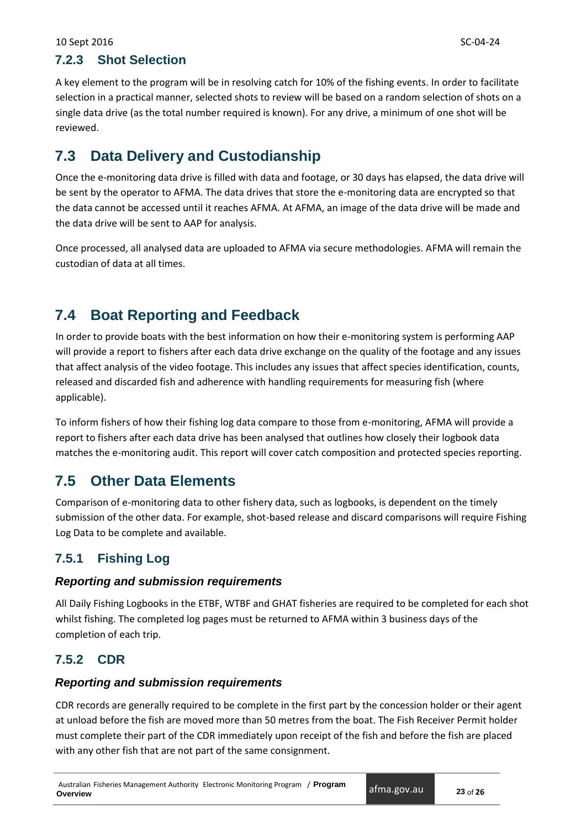## <span id="page-26-0"></span>**7.2.3 Shot Selection**

A key element to the program will be in resolving catch for 10% of the fishing events. In order to facilitate selection in a practical manner, selected shots to review will be based on a random selection of shots on a single data drive (as the total number required is known). For any drive, a minimum of one shot will be reviewed.

# <span id="page-26-1"></span>**7.3 Data Delivery and Custodianship**

Once the e-monitoring data drive is filled with data and footage, or 30 days has elapsed, the data drive will be sent by the operator to AFMA. The data drives that store the e-monitoring data are encrypted so that the data cannot be accessed until it reaches AFMA. At AFMA, an image of the data drive will be made and the data drive will be sent to AAP for analysis.

Once processed, all analysed data are uploaded to AFMA via secure methodologies. AFMA will remain the custodian of data at all times.

# <span id="page-26-2"></span>**7.4 Boat Reporting and Feedback**

In order to provide boats with the best information on how their e-monitoring system is performing AAP will provide a report to fishers after each data drive exchange on the quality of the footage and any issues that affect analysis of the video footage. This includes any issues that affect species identification, counts, released and discarded fish and adherence with handling requirements for measuring fish (where applicable).

To inform fishers of how their fishing log data compare to those from e-monitoring, AFMA will provide a report to fishers after each data drive has been analysed that outlines how closely their logbook data matches the e-monitoring audit. This report will cover catch composition and protected species reporting.

# <span id="page-26-3"></span>**7.5 Other Data Elements**

Comparison of e-monitoring data to other fishery data, such as logbooks, is dependent on the timely submission of the other data. For example, shot-based release and discard comparisons will require Fishing Log Data to be complete and available.

## <span id="page-26-4"></span>**7.5.1 Fishing Log**

### *Reporting and submission requirements*

All Daily Fishing Logbooks in the ETBF, WTBF and GHAT fisheries are required to be completed for each shot whilst fishing. The completed log pages must be returned to AFMA within 3 business days of the completion of each trip.

## <span id="page-26-5"></span>**7.5.2 CDR**

### *Reporting and submission requirements*

CDR records are generally required to be complete in the first part by the concession holder or their agent at unload before the fish are moved more than 50 metres from the boat. The Fish Receiver Permit holder must complete their part of the CDR immediately upon receipt of the fish and before the fish are placed with any other fish that are not part of the same consignment.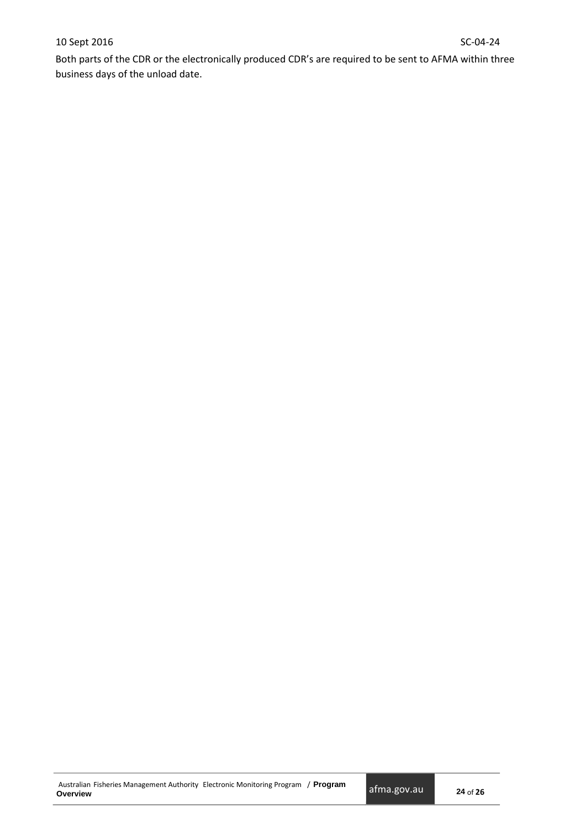### 10 Sept 2016 SC-04-24

<span id="page-27-0"></span>Both parts of the CDR or the electronically produced CDR's are required to be sent to AFMA within three business days of the unload date.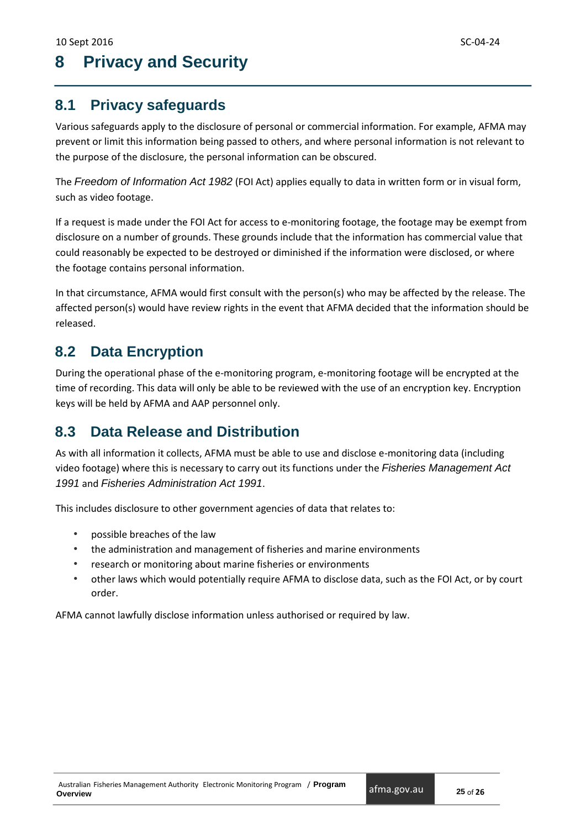# **8 Privacy and Security**

# <span id="page-28-0"></span>**8.1 Privacy safeguards**

Various safeguards apply to the disclosure of personal or commercial information. For example, AFMA may prevent or limit this information being passed to others, and where personal information is not relevant to the purpose of the disclosure, the personal information can be obscured.

The *Freedom of Information Act 1982* (FOI Act) applies equally to data in written form or in visual form, such as video footage.

If a request is made under the FOI Act for access to e-monitoring footage, the footage may be exempt from disclosure on a number of grounds. These grounds include that the information has commercial value that could reasonably be expected to be destroyed or diminished if the information were disclosed, or where the footage contains personal information.

In that circumstance, AFMA would first consult with the person(s) who may be affected by the release. The affected person(s) would have review rights in the event that AFMA decided that the information should be released.

# <span id="page-28-1"></span>**8.2 Data Encryption**

During the operational phase of the e-monitoring program, e-monitoring footage will be encrypted at the time of recording. This data will only be able to be reviewed with the use of an encryption key. Encryption keys will be held by AFMA and AAP personnel only.

# <span id="page-28-2"></span>**8.3 Data Release and Distribution**

As with all information it collects, AFMA must be able to use and disclose e-monitoring data (including video footage) where this is necessary to carry out its functions under the *Fisheries Management Act 1991* and *Fisheries Administration Act 1991*.

This includes disclosure to other government agencies of data that relates to:

- possible breaches of the law
- the administration and management of fisheries and marine environments
- research or monitoring about marine fisheries or environments
- other laws which would potentially require AFMA to disclose data, such as the FOI Act, or by court order.

<span id="page-28-3"></span>AFMA cannot lawfully disclose information unless authorised or required by law.